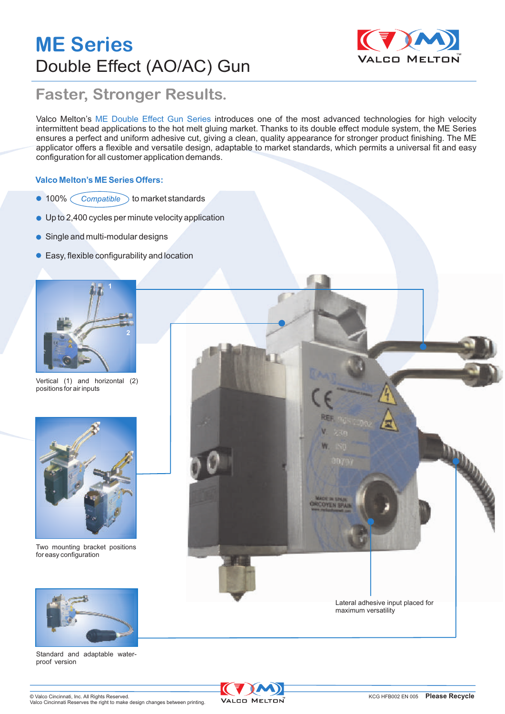# **ME Series** Double Effect (AO/AC) Gun



#### **Faster, Stronger Results.**

Valco Melton's ME Double Effect Gun Series introduces one of the most advanced technologies for high velocity intermittent bead applications to the hot melt gluing market. Thanks to its double effect module system, the ME Series ensures a perfect and uniform adhesive cut, giving a clean, quality appearance for stronger product finishing. The ME applicator offers a flexible and versatile design, adaptable to market standards, which permits a universal fit and easy configuration for all customer application demands.

#### **Valco Melton's ME Series Offers:**

- $\bullet$  100%  $\bigcirc$  Compatible  $\bigcirc$  to market standards
- Up to 2,400 cycles per minute velocity application
- Single and multi-modular designs
- Easy, flexible configurability and location



Vertical (1) and horizontal (2) positions for air inputs



Two mounting bracket positions for easy configuration



Standard and adaptable waterproof version